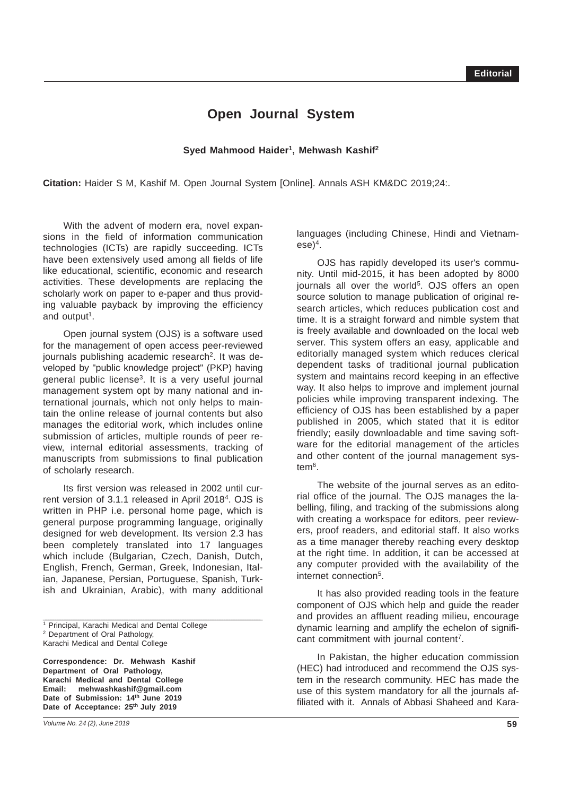## **Open Journal System**

## Syed Mahmood Haider<sup>1</sup>, Mehwash Kashif<sup>2</sup>

**Citation:** Haider S M, Kashif M. Open Journal System [Online]. Annals ASH KM&DC 2019;24:.

With the advent of modern era, novel expansions in the field of information communication technologies (ICTs) are rapidly succeeding. ICTs have been extensively used among all fields of life like educational, scientific, economic and research activities. These developments are replacing the scholarly work on paper to e-paper and thus providing valuable payback by improving the efficiency and output<sup>1</sup>.

Open journal system (OJS) is a software used for the management of open access peer-reviewed journals publishing academic research<sup>2</sup>. It was developed by "public knowledge project" (PKP) having general public license3. It is a very useful journal management system opt by many national and international journals, which not only helps to maintain the online release of journal contents but also manages the editorial work, which includes online submission of articles, multiple rounds of peer review, internal editorial assessments, tracking of manuscripts from submissions to final publication of scholarly research.

Its first version was released in 2002 until current version of 3.1.1 released in April 20184. OJS is written in PHP i.e. personal home page, which is general purpose programming language, originally designed for web development. Its version 2.3 has been completely translated into 17 languages which include (Bulgarian, Czech, Danish, Dutch, English, French, German, Greek, Indonesian, Italian, Japanese, Persian, Portuguese, Spanish, Turkish and Ukrainian, Arabic), with many additional

\_\_\_\_\_\_\_\_\_\_\_\_\_\_\_\_\_\_\_\_\_\_\_\_\_\_\_\_\_\_\_\_\_\_\_\_\_\_\_\_\_\_\_\_\_\_\_\_\_\_\_\_\_\_\_\_\_\_\_\_\_\_\_\_\_\_\_\_\_\_\_\_\_\_\_\_\_\_\_\_\_\_\_\_\_\_\_\_\_\_\_\_\_\_

**Correspondence: Dr. Mehwash Kashif Department of Oral Pathology, Karachi Medical and Dental College Email: mehwashkashif@gmail.com Date of Submission: 14th June 2019** Date of Acceptance: 25<sup>th</sup> July 2019

languages (including Chinese, Hindi and Vietnamese)4.

OJS has rapidly developed its user's community. Until mid-2015, it has been adopted by 8000 journals all over the world<sup>5</sup>. OJS offers an open source solution to manage publication of original research articles, which reduces publication cost and time. It is a straight forward and nimble system that is freely available and downloaded on the local web server. This system offers an easy, applicable and editorially managed system which reduces clerical dependent tasks of traditional journal publication system and maintains record keeping in an effective way. It also helps to improve and implement journal policies while improving transparent indexing. The efficiency of OJS has been established by a paper published in 2005, which stated that it is editor friendly; easily downloadable and time saving software for the editorial management of the articles and other content of the journal management system<sup>6</sup>.

The website of the journal serves as an editorial office of the journal. The OJS manages the labelling, filing, and tracking of the submissions along with creating a workspace for editors, peer reviewers, proof readers, and editorial staff. It also works as a time manager thereby reaching every desktop at the right time. In addition, it can be accessed at any computer provided with the availability of the internet connection5.

It has also provided reading tools in the feature component of OJS which help and guide the reader and provides an affluent reading milieu, encourage dynamic learning and amplify the echelon of significant commitment with journal content7.

In Pakistan, the higher education commission (HEC) had introduced and recommend the OJS system in the research community. HEC has made the use of this system mandatory for all the journals affiliated with it. Annals of Abbasi Shaheed and Kara-

<sup>1</sup> Principal, Karachi Medical and Dental College 2 Department of Oral Pathology, Karachi Medical and Dental College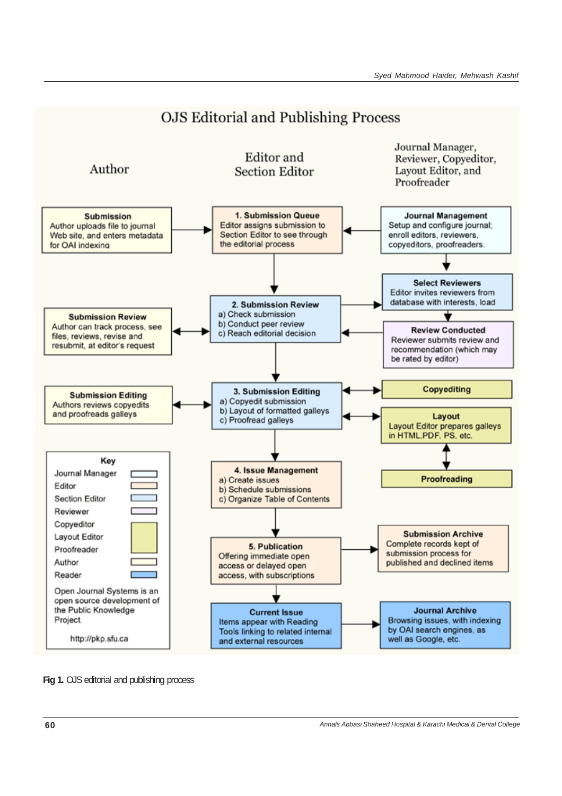

**Fig 1.** OJS editorial and publishing process